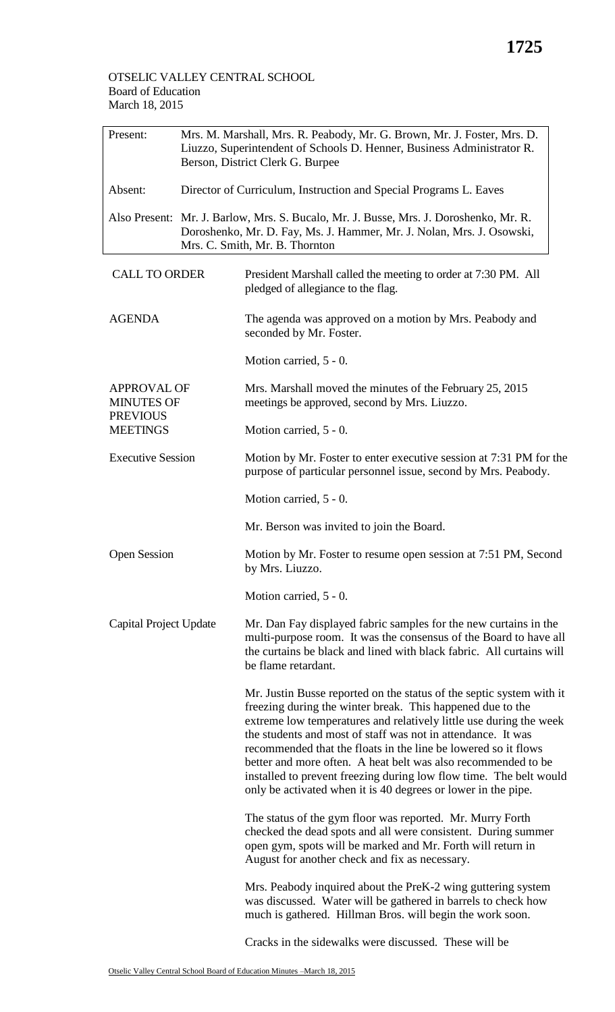March 18, 2015

## Present: Mrs. M. Marshall, Mrs. R. Peabody, Mr. G. Brown, Mr. J. Foster, Mrs. D. Liuzzo, Superintendent of Schools D. Henner, Business Administrator R. Berson, District Clerk G. Burpee Absent: Director of Curriculum, Instruction and Special Programs L. Eaves Also Present: Mr. J. Barlow, Mrs. S. Bucalo, Mr. J. Busse, Mrs. J. Doroshenko, Mr. R. Doroshenko, Mr. D. Fay, Ms. J. Hammer, Mr. J. Nolan, Mrs. J. Osowski, Mrs. C. Smith, Mr. B. Thornton CALL TO ORDER President Marshall called the meeting to order at 7:30 PM. All pledged of allegiance to the flag. AGENDA The agenda was approved on a motion by Mrs. Peabody and seconded by Mr. Foster. Motion carried, 5 - 0. APPROVAL OF MINUTES OF **PREVIOUS MEETINGS** Mrs. Marshall moved the minutes of the February 25, 2015 meetings be approved, second by Mrs. Liuzzo. Motion carried, 5 - 0. Executive Session Motion by Mr. Foster to enter executive session at 7:31 PM for the purpose of particular personnel issue, second by Mrs. Peabody. Motion carried, 5 - 0. Mr. Berson was invited to join the Board. Open Session Motion by Mr. Foster to resume open session at 7:51 PM, Second by Mrs. Liuzzo. Motion carried, 5 - 0. Capital Project Update Mr. Dan Fay displayed fabric samples for the new curtains in the multi-purpose room. It was the consensus of the Board to have all the curtains be black and lined with black fabric. All curtains will be flame retardant. Mr. Justin Busse reported on the status of the septic system with it freezing during the winter break. This happened due to the extreme low temperatures and relatively little use during the week the students and most of staff was not in attendance. It was recommended that the floats in the line be lowered so it flows better and more often. A heat belt was also recommended to be installed to prevent freezing during low flow time. The belt would only be activated when it is 40 degrees or lower in the pipe. The status of the gym floor was reported. Mr. Murry Forth checked the dead spots and all were consistent. During summer open gym, spots will be marked and Mr. Forth will return in August for another check and fix as necessary. Mrs. Peabody inquired about the PreK-2 wing guttering system was discussed. Water will be gathered in barrels to check how much is gathered. Hillman Bros. will begin the work soon.

Cracks in the sidewalks were discussed. These will be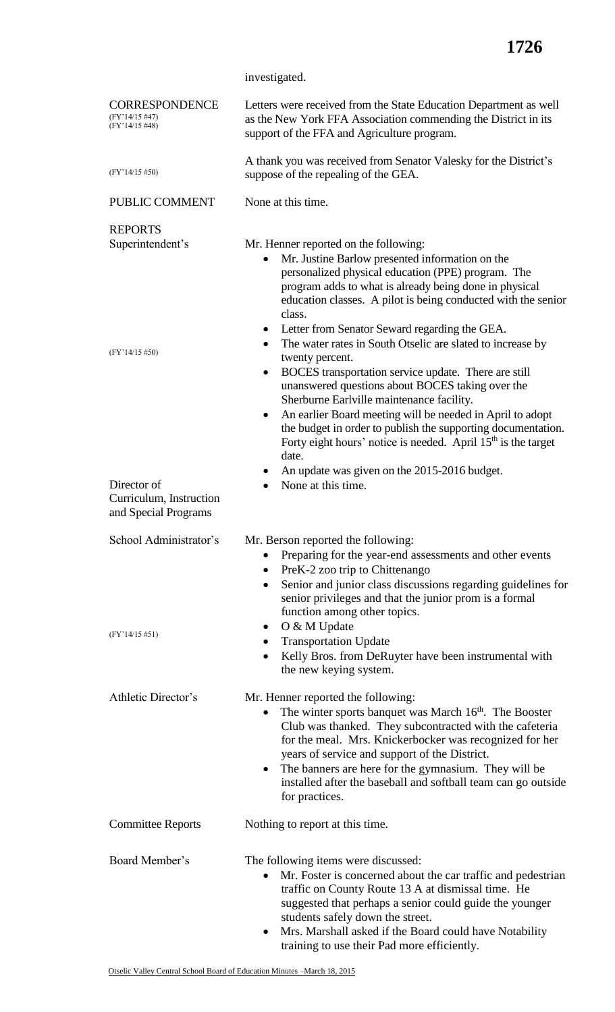investigated.

| <b>CORRESPONDENCE</b><br>$(FY'14/15 \#47)$<br>(FY'14/15 #48)   | Letters were received from the State Education Department as well<br>as the New York FFA Association commending the District in its<br>support of the FFA and Agriculture program.                                                                                                                                                                                                                                                                   |
|----------------------------------------------------------------|------------------------------------------------------------------------------------------------------------------------------------------------------------------------------------------------------------------------------------------------------------------------------------------------------------------------------------------------------------------------------------------------------------------------------------------------------|
| $(FY'14/15\#50)$                                               | A thank you was received from Senator Valesky for the District's<br>suppose of the repealing of the GEA.                                                                                                                                                                                                                                                                                                                                             |
| PUBLIC COMMENT                                                 | None at this time.                                                                                                                                                                                                                                                                                                                                                                                                                                   |
| <b>REPORTS</b>                                                 |                                                                                                                                                                                                                                                                                                                                                                                                                                                      |
| Superintendent's                                               | Mr. Henner reported on the following:<br>Mr. Justine Barlow presented information on the<br>personalized physical education (PPE) program. The<br>program adds to what is already being done in physical<br>education classes. A pilot is being conducted with the senior<br>class.<br>• Letter from Senator Seward regarding the GEA.                                                                                                               |
| $(FY'14/15\#50)$                                               | The water rates in South Otselic are slated to increase by<br>twenty percent.<br>BOCES transportation service update. There are still<br>٠<br>unanswered questions about BOCES taking over the<br>Sherburne Earlville maintenance facility.<br>An earlier Board meeting will be needed in April to adopt<br>٠<br>the budget in order to publish the supporting documentation.                                                                        |
|                                                                | Forty eight hours' notice is needed. April 15 <sup>th</sup> is the target<br>date.                                                                                                                                                                                                                                                                                                                                                                   |
| Director of<br>Curriculum, Instruction<br>and Special Programs | An update was given on the 2015-2016 budget.<br>None at this time.                                                                                                                                                                                                                                                                                                                                                                                   |
| School Administrator's                                         | Mr. Berson reported the following:<br>Preparing for the year-end assessments and other events<br>$\bullet$<br>PreK-2 zoo trip to Chittenango<br>Senior and junior class discussions regarding guidelines for<br>$\bullet$<br>senior privileges and that the junior prom is a formal<br>function among other topics.                                                                                                                                  |
| $(FY'14/15\#51)$                                               | O & M Update<br><b>Transportation Update</b><br>Kelly Bros. from DeRuyter have been instrumental with<br>the new keying system.                                                                                                                                                                                                                                                                                                                      |
| Athletic Director's                                            | Mr. Henner reported the following:<br>The winter sports banquet was March 16 <sup>th</sup> . The Booster<br>$\bullet$<br>Club was thanked. They subcontracted with the cafeteria<br>for the meal. Mrs. Knickerbocker was recognized for her<br>years of service and support of the District.<br>The banners are here for the gymnasium. They will be<br>$\bullet$<br>installed after the baseball and softball team can go outside<br>for practices. |
| <b>Committee Reports</b>                                       | Nothing to report at this time.                                                                                                                                                                                                                                                                                                                                                                                                                      |
| Board Member's                                                 | The following items were discussed:<br>Mr. Foster is concerned about the car traffic and pedestrian<br>$\bullet$<br>traffic on County Route 13 A at dismissal time. He<br>suggested that perhaps a senior could guide the younger<br>students safely down the street.<br>Mrs. Marshall asked if the Board could have Notability<br>$\bullet$<br>training to use their Pad more efficiently.                                                          |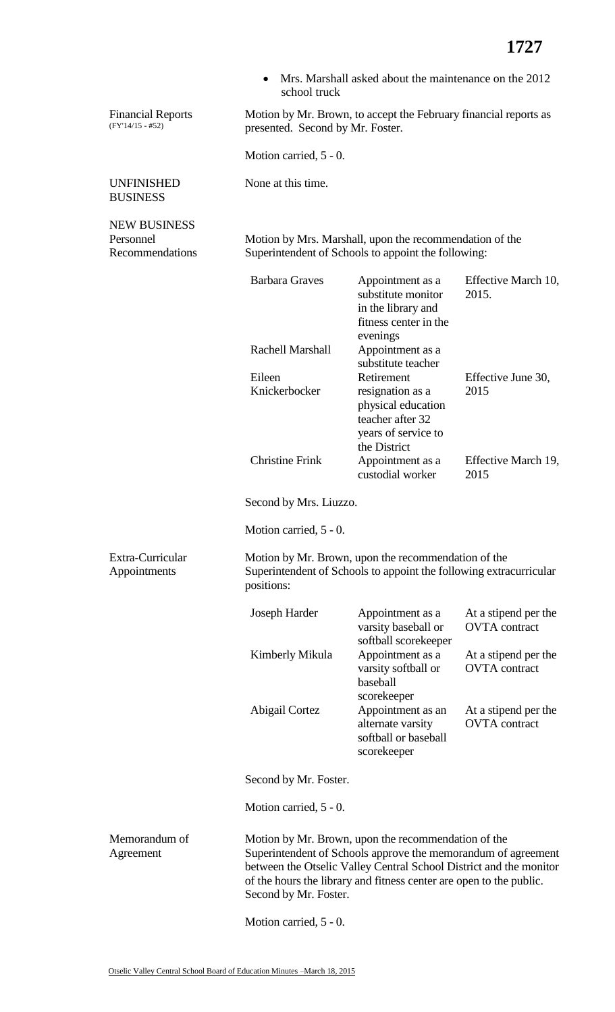|                                                     | school truck                                                                                                                                                                                                                                                                               | Mrs. Marshall asked about the maintenance on the 2012                                             |                                              |
|-----------------------------------------------------|--------------------------------------------------------------------------------------------------------------------------------------------------------------------------------------------------------------------------------------------------------------------------------------------|---------------------------------------------------------------------------------------------------|----------------------------------------------|
| <b>Financial Reports</b><br>$(FY'14/15 - #52)$      | Motion by Mr. Brown, to accept the February financial reports as<br>presented. Second by Mr. Foster.                                                                                                                                                                                       |                                                                                                   |                                              |
|                                                     | Motion carried, 5 - 0.                                                                                                                                                                                                                                                                     |                                                                                                   |                                              |
| <b>UNFINISHED</b><br><b>BUSINESS</b>                | None at this time.                                                                                                                                                                                                                                                                         |                                                                                                   |                                              |
| <b>NEW BUSINESS</b><br>Personnel<br>Recommendations | Motion by Mrs. Marshall, upon the recommendation of the<br>Superintendent of Schools to appoint the following:                                                                                                                                                                             |                                                                                                   |                                              |
|                                                     | <b>Barbara Graves</b>                                                                                                                                                                                                                                                                      | Appointment as a<br>substitute monitor<br>in the library and<br>fitness center in the<br>evenings | Effective March 10,<br>2015.                 |
|                                                     | <b>Rachell Marshall</b>                                                                                                                                                                                                                                                                    | Appointment as a<br>substitute teacher                                                            |                                              |
|                                                     | Eileen<br>Knickerbocker                                                                                                                                                                                                                                                                    | Retirement<br>resignation as a<br>physical education<br>teacher after 32                          | Effective June 30,<br>2015                   |
|                                                     | <b>Christine Frink</b>                                                                                                                                                                                                                                                                     | years of service to<br>the District<br>Appointment as a<br>custodial worker                       | Effective March 19,<br>2015                  |
|                                                     | Second by Mrs. Liuzzo.                                                                                                                                                                                                                                                                     |                                                                                                   |                                              |
|                                                     | Motion carried, 5 - 0.                                                                                                                                                                                                                                                                     |                                                                                                   |                                              |
| Extra-Curricular<br>Appointments                    | Motion by Mr. Brown, upon the recommendation of the<br>Superintendent of Schools to appoint the following extracurricular<br>positions:                                                                                                                                                    |                                                                                                   |                                              |
|                                                     | Joseph Harder                                                                                                                                                                                                                                                                              | Appointment as a<br>varsity baseball or<br>softball scorekeeper                                   | At a stipend per the<br><b>OVTA</b> contract |
|                                                     | Kimberly Mikula                                                                                                                                                                                                                                                                            | Appointment as a<br>varsity softball or<br>baseball<br>scorekeeper                                | At a stipend per the<br><b>OVTA</b> contract |
|                                                     | Abigail Cortez                                                                                                                                                                                                                                                                             | Appointment as an<br>alternate varsity<br>softball or baseball<br>scorekeeper                     | At a stipend per the<br><b>OVTA</b> contract |
|                                                     | Second by Mr. Foster.                                                                                                                                                                                                                                                                      |                                                                                                   |                                              |
|                                                     | Motion carried, 5 - 0.                                                                                                                                                                                                                                                                     |                                                                                                   |                                              |
| Memorandum of<br>Agreement                          | Motion by Mr. Brown, upon the recommendation of the<br>Superintendent of Schools approve the memorandum of agreement<br>between the Otselic Valley Central School District and the monitor<br>of the hours the library and fitness center are open to the public.<br>Second by Mr. Foster. |                                                                                                   |                                              |
|                                                     | Motion carried, 5 - 0.                                                                                                                                                                                                                                                                     |                                                                                                   |                                              |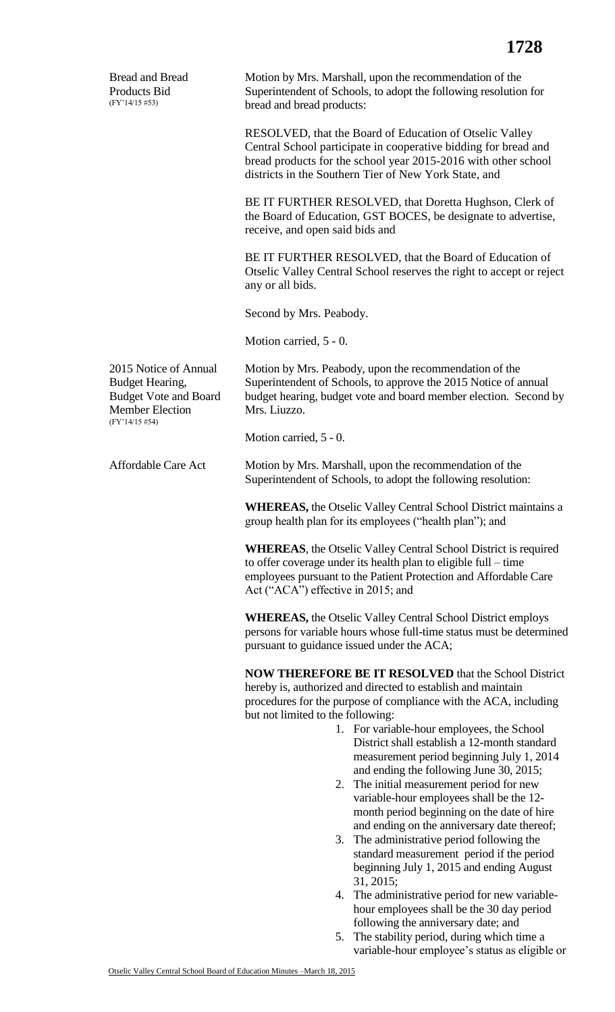| <b>Bread and Bread</b><br>Products Bid<br>$(FY'14/15\#53)$                                                           | Motion by Mrs. Marshall, upon the recommendation of the<br>Superintendent of Schools, to adopt the following resolution for<br>bread and bread products:                                                                                                                                                                                                                                                                                                                                                                                                                                                                                                                                                                                                                                                                                                                   |  |
|----------------------------------------------------------------------------------------------------------------------|----------------------------------------------------------------------------------------------------------------------------------------------------------------------------------------------------------------------------------------------------------------------------------------------------------------------------------------------------------------------------------------------------------------------------------------------------------------------------------------------------------------------------------------------------------------------------------------------------------------------------------------------------------------------------------------------------------------------------------------------------------------------------------------------------------------------------------------------------------------------------|--|
|                                                                                                                      | RESOLVED, that the Board of Education of Otselic Valley<br>Central School participate in cooperative bidding for bread and<br>bread products for the school year 2015-2016 with other school<br>districts in the Southern Tier of New York State, and                                                                                                                                                                                                                                                                                                                                                                                                                                                                                                                                                                                                                      |  |
|                                                                                                                      | BE IT FURTHER RESOLVED, that Doretta Hughson, Clerk of<br>the Board of Education, GST BOCES, be designate to advertise,<br>receive, and open said bids and                                                                                                                                                                                                                                                                                                                                                                                                                                                                                                                                                                                                                                                                                                                 |  |
|                                                                                                                      | BE IT FURTHER RESOLVED, that the Board of Education of<br>Otselic Valley Central School reserves the right to accept or reject<br>any or all bids.                                                                                                                                                                                                                                                                                                                                                                                                                                                                                                                                                                                                                                                                                                                         |  |
|                                                                                                                      | Second by Mrs. Peabody.                                                                                                                                                                                                                                                                                                                                                                                                                                                                                                                                                                                                                                                                                                                                                                                                                                                    |  |
|                                                                                                                      | Motion carried, 5 - 0.                                                                                                                                                                                                                                                                                                                                                                                                                                                                                                                                                                                                                                                                                                                                                                                                                                                     |  |
| 2015 Notice of Annual<br>Budget Hearing,<br><b>Budget Vote and Board</b><br><b>Member Election</b><br>(FY'14/15 #54) | Motion by Mrs. Peabody, upon the recommendation of the<br>Superintendent of Schools, to approve the 2015 Notice of annual<br>budget hearing, budget vote and board member election. Second by<br>Mrs. Liuzzo.                                                                                                                                                                                                                                                                                                                                                                                                                                                                                                                                                                                                                                                              |  |
|                                                                                                                      | Motion carried, 5 - 0.                                                                                                                                                                                                                                                                                                                                                                                                                                                                                                                                                                                                                                                                                                                                                                                                                                                     |  |
| <b>Affordable Care Act</b>                                                                                           | Motion by Mrs. Marshall, upon the recommendation of the<br>Superintendent of Schools, to adopt the following resolution:                                                                                                                                                                                                                                                                                                                                                                                                                                                                                                                                                                                                                                                                                                                                                   |  |
|                                                                                                                      | <b>WHEREAS, the Otselic Valley Central School District maintains a</b><br>group health plan for its employees ("health plan"); and                                                                                                                                                                                                                                                                                                                                                                                                                                                                                                                                                                                                                                                                                                                                         |  |
|                                                                                                                      | <b>WHEREAS</b> , the Otselic Valley Central School District is required<br>to offer coverage under its health plan to eligible full – time<br>employees pursuant to the Patient Protection and Affordable Care<br>Act ("ACA") effective in 2015; and                                                                                                                                                                                                                                                                                                                                                                                                                                                                                                                                                                                                                       |  |
|                                                                                                                      | <b>WHEREAS, the Otselic Valley Central School District employs</b><br>persons for variable hours whose full-time status must be determined<br>pursuant to guidance issued under the ACA;                                                                                                                                                                                                                                                                                                                                                                                                                                                                                                                                                                                                                                                                                   |  |
|                                                                                                                      | <b>NOW THEREFORE BE IT RESOLVED that the School District</b><br>hereby is, authorized and directed to establish and maintain<br>procedures for the purpose of compliance with the ACA, including<br>but not limited to the following:<br>1. For variable-hour employees, the School<br>District shall establish a 12-month standard<br>measurement period beginning July 1, 2014<br>and ending the following June 30, 2015;<br>The initial measurement period for new<br>2.<br>variable-hour employees shall be the 12-<br>month period beginning on the date of hire<br>and ending on the anniversary date thereof;<br>3. The administrative period following the<br>standard measurement period if the period<br>beginning July 1, 2015 and ending August<br>31, 2015;<br>The administrative period for new variable-<br>4.<br>hour employees shall be the 30 day period |  |
|                                                                                                                      | following the anniversary date; and                                                                                                                                                                                                                                                                                                                                                                                                                                                                                                                                                                                                                                                                                                                                                                                                                                        |  |

5. The stability period, during which time a variable-hour employee's status as eligible or